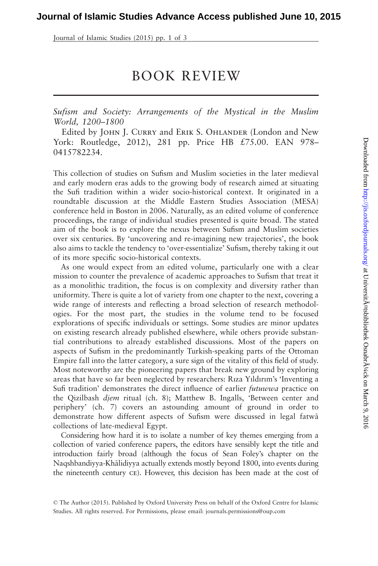Journal of Islamic Studies (2015) pp. 1 of 3

## BOOK REVIEW

Sufism and Society: Arrangements of the Mystical in the Muslim World, 1200–1800

Edited by JOHN J. CURRY and ERIK S. OHLANDER (London and New York: Routledge, 2012), 281 pp. Price HB £75.00. EAN 978– 0415782234.

This collection of studies on Sufism and Muslim societies in the later medieval and early modern eras adds to the growing body of research aimed at situating the Sufi tradition within a wider socio-historical context. It originated in a roundtable discussion at the Middle Eastern Studies Association (MESA) conference held in Boston in 2006. Naturally, as an edited volume of conference proceedings, the range of individual studies presented is quite broad. The stated aim of the book is to explore the nexus between Sufism and Muslim societies over six centuries. By 'uncovering and re-imagining new trajectories', the book also aims to tackle the tendency to 'over-essentialize' Sufism, thereby taking it out of its more specific socio-historical contexts.

As one would expect from an edited volume, particularly one with a clear mission to counter the prevalence of academic approaches to Sufism that treat it as a monolithic tradition, the focus is on complexity and diversity rather than uniformity. There is quite a lot of variety from one chapter to the next, covering a wide range of interests and reflecting a broad selection of research methodologies. For the most part, the studies in the volume tend to be focused explorations of specific individuals or settings. Some studies are minor updates on existing research already published elsewhere, while others provide substantial contributions to already established discussions. Most of the papers on aspects of Sufism in the predominantly Turkish-speaking parts of the Ottoman Empire fall into the latter category, a sure sign of the vitality of this field of study. Most noteworthy are the pioneering papers that break new ground by exploring areas that have so far been neglected by researchers: Rıza Yıldırım's 'Inventing a Sufi tradition' demonstrates the direct influence of earlier *futuwwa* practice on the Qizilbash djem ritual (ch. 8); Matthew B. Ingalls, 'Between center and periphery' (ch. 7) covers an astounding amount of ground in order to demonstrate how different aspects of Sufism were discussed in legal fatwa collections of late-medieval Egypt.

Considering how hard it is to isolate a number of key themes emerging from a collection of varied conference papers, the editors have sensibly kept the title and introduction fairly broad (although the focus of Sean Foley's chapter on the Naqshbandiyya-Khālidiyya actually extends mostly beyond 1800, into events during the nineteenth century ce). However, this decision has been made at the cost of

<sup>©</sup> The Author (2015). Published by Oxford University Press on behalf of the Oxford Centre for Islamic Studies. All rights reserved. For Permissions, please email: journals.permissions@oup.com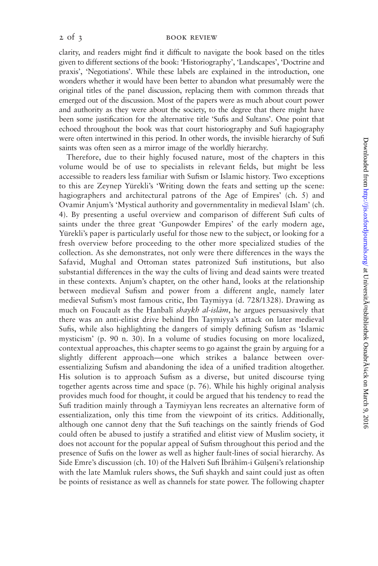## 2 of 3 BOOK REVIEW

clarity, and readers might find it difficult to navigate the book based on the titles given to different sections of the book: 'Historiography', 'Landscapes', 'Doctrine and praxis', 'Negotiations'. While these labels are explained in the introduction, one wonders whether it would have been better to abandon what presumably were the original titles of the panel discussion, replacing them with common threads that emerged out of the discussion. Most of the papers were as much about court power and authority as they were about the society, to the degree that there might have been some justification for the alternative title 'Sufis and Sultans'. One point that echoed throughout the book was that court historiography and Sufi hagiography were often intertwined in this period. In other words, the invisible hierarchy of Sufi saints was often seen as a mirror image of the worldly hierarchy.

Therefore, due to their highly focused nature, most of the chapters in this volume would be of use to specialists in relevant fields, but might be less accessible to readers less familiar with Sufism or Islamic history. Two exceptions to this are Zeynep Yürekli's 'Writing down the feats and setting up the scene: hagiographers and architectural patrons of the Age of Empires' (ch. 5) and Ovamir Anjum's 'Mystical authority and governmentality in medieval Islam' (ch. 4). By presenting a useful overview and comparison of different Sufi cults of saints under the three great 'Gunpowder Empires' of the early modern age, Yürekli's paper is particularly useful for those new to the subject, or looking for a fresh overview before proceeding to the other more specialized studies of the collection. As she demonstrates, not only were there differences in the ways the Safavid, Mughal and Ottoman states patronized Sufi institutions, but also substantial differences in the way the cults of living and dead saints were treated in these contexts. Anjum's chapter, on the other hand, looks at the relationship between medieval Sufism and power from a different angle, namely later medieval Sufism's most famous critic, Ibn Taymiyya (d. 728/1328). Drawing as much on Foucault as the Hanbali shaykh al-islam, he argues persuasively that there was an anti-elitist drive behind Ibn Taymiyya's attack on later medieval Sufis, while also highlighting the dangers of simply defining Sufism as 'Islamic mysticism' (p. 90 n. 30). In a volume of studies focusing on more localized, contextual approaches, this chapter seems to go against the grain by arguing for a slightly different approach—one which strikes a balance between overessentializing Sufism and abandoning the idea of a unified tradition altogether. His solution is to approach Sufism as a diverse, but united discourse tying together agents across time and space (p. 76). While his highly original analysis provides much food for thought, it could be argued that his tendency to read the Sufi tradition mainly through a Taymiyyan lens recreates an alternative form of essentialization, only this time from the viewpoint of its critics. Additionally, although one cannot deny that the Sufi teachings on the saintly friends of God could often be abused to justify a stratified and elitist view of Muslim society, it does not account for the popular appeal of Sufism throughout this period and the presence of Sufis on the lower as well as higher fault-lines of social hierarchy. As Side Emre's discussion (ch. 10) of the Halveti Sufi İbrāhīm-i Gülşeni's relationship with the late Mamluk rulers shows, the Sufi shaykh and saint could just as often be points of resistance as well as channels for state power. The following chapter